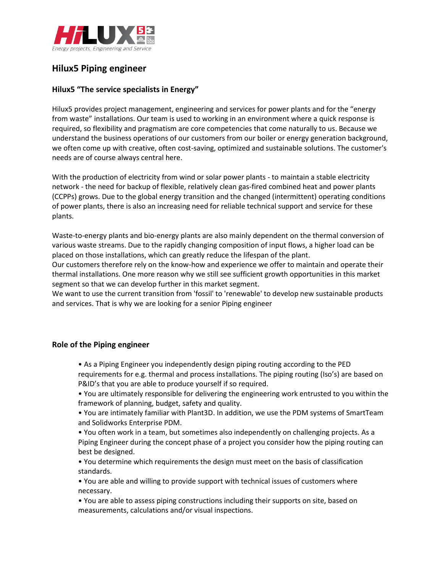

# **Hilux5 Piping engineer**

## **Hilux5 "The service specialists in Energy"**

Hilux5 provides project management, engineering and services for power plants and for the "energy from waste" installations. Our team is used to working in an environment where a quick response is required, so flexibility and pragmatism are core competencies that come naturally to us. Because we understand the business operations of our customers from our boiler or energy generation background, we often come up with creative, often cost-saving, optimized and sustainable solutions. The customer's needs are of course always central here.

With the production of electricity from wind or solar power plants - to maintain a stable electricity network - the need for backup of flexible, relatively clean gas-fired combined heat and power plants (CCPPs) grows. Due to the global energy transition and the changed (intermittent) operating conditions of power plants, there is also an increasing need for reliable technical support and service for these plants.

Waste-to-energy plants and bio-energy plants are also mainly dependent on the thermal conversion of various waste streams. Due to the rapidly changing composition of input flows, a higher load can be placed on those installations, which can greatly reduce the lifespan of the plant.

Our customers therefore rely on the know-how and experience we offer to maintain and operate their thermal installations. One more reason why we still see sufficient growth opportunities in this market segment so that we can develop further in this market segment.

We want to use the current transition from 'fossil' to 'renewable' to develop new sustainable products and services. That is why we are looking for a senior Piping engineer

## **Role of the Piping engineer**

• As a Piping Engineer you independently design piping routing according to the PED requirements for e.g. thermal and process installations. The piping routing (Iso's) are based on P&ID's that you are able to produce yourself if so required.

- You are ultimately responsible for delivering the engineering work entrusted to you within the framework of planning, budget, safety and quality.
- You are intimately familiar with Plant3D. In addition, we use the PDM systems of SmartTeam and Solidworks Enterprise PDM.

• You often work in a team, but sometimes also independently on challenging projects. As a Piping Engineer during the concept phase of a project you consider how the piping routing can best be designed.

• You determine which requirements the design must meet on the basis of classification standards.

• You are able and willing to provide support with technical issues of customers where necessary.

• You are able to assess piping constructions including their supports on site, based on measurements, calculations and/or visual inspections.